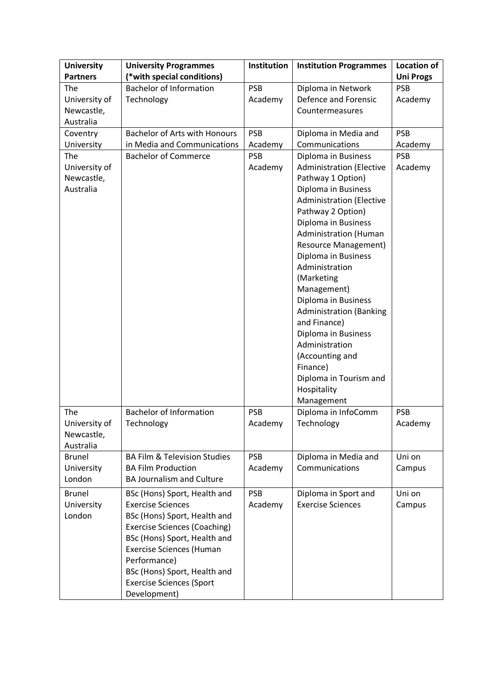| <b>University</b><br><b>Partners</b>                         | <b>University Programmes</b><br>(*with special conditions)                                                                                                                                                                                                                                            | Institution                                    | <b>Institution Programmes</b>                                                                                                                                                                                                                                                                                                                                                                                                                   | <b>Location of</b><br><b>Uni Progs</b>         |
|--------------------------------------------------------------|-------------------------------------------------------------------------------------------------------------------------------------------------------------------------------------------------------------------------------------------------------------------------------------------------------|------------------------------------------------|-------------------------------------------------------------------------------------------------------------------------------------------------------------------------------------------------------------------------------------------------------------------------------------------------------------------------------------------------------------------------------------------------------------------------------------------------|------------------------------------------------|
| The<br>University of<br>Newcastle,<br>Australia              | <b>Bachelor of Information</b><br>Technology                                                                                                                                                                                                                                                          | <b>PSB</b><br>Academy                          | Diploma in Network<br>Defence and Forensic<br>Countermeasures                                                                                                                                                                                                                                                                                                                                                                                   | <b>PSB</b><br>Academy                          |
| Coventry<br>University<br>The<br>University of<br>Newcastle, | <b>Bachelor of Arts with Honours</b><br>in Media and Communications<br><b>Bachelor of Commerce</b>                                                                                                                                                                                                    | <b>PSB</b><br>Academy<br><b>PSB</b><br>Academy | Diploma in Media and<br>Communications<br>Diploma in Business<br><b>Administration (Elective</b><br>Pathway 1 Option)                                                                                                                                                                                                                                                                                                                           | <b>PSB</b><br>Academy<br><b>PSB</b><br>Academy |
| Australia                                                    |                                                                                                                                                                                                                                                                                                       |                                                | Diploma in Business<br><b>Administration (Elective</b><br>Pathway 2 Option)<br>Diploma in Business<br><b>Administration (Human</b><br><b>Resource Management)</b><br>Diploma in Business<br>Administration<br>(Marketing<br>Management)<br>Diploma in Business<br><b>Administration (Banking</b><br>and Finance)<br>Diploma in Business<br>Administration<br>(Accounting and<br>Finance)<br>Diploma in Tourism and<br>Hospitality<br>Management |                                                |
| The<br>University of<br>Newcastle,<br>Australia              | <b>Bachelor of Information</b><br>Technology                                                                                                                                                                                                                                                          | <b>PSB</b><br>Academy                          | Diploma in InfoComm<br>Technology                                                                                                                                                                                                                                                                                                                                                                                                               | <b>PSB</b><br>Academy                          |
| <b>Brunel</b><br>University<br>London                        | <b>BA Film &amp; Television Studies</b><br><b>BA Film Production</b><br><b>BA Journalism and Culture</b>                                                                                                                                                                                              | <b>PSB</b><br>Academy                          | Diploma in Media and<br>Communications                                                                                                                                                                                                                                                                                                                                                                                                          | Uni on<br>Campus                               |
| <b>Brunel</b><br>University<br>London                        | BSc (Hons) Sport, Health and<br><b>Exercise Sciences</b><br>BSc (Hons) Sport, Health and<br><b>Exercise Sciences (Coaching)</b><br>BSc (Hons) Sport, Health and<br><b>Exercise Sciences (Human</b><br>Performance)<br>BSc (Hons) Sport, Health and<br><b>Exercise Sciences (Sport</b><br>Development) | <b>PSB</b><br>Academy                          | Diploma in Sport and<br><b>Exercise Sciences</b>                                                                                                                                                                                                                                                                                                                                                                                                | Uni on<br>Campus                               |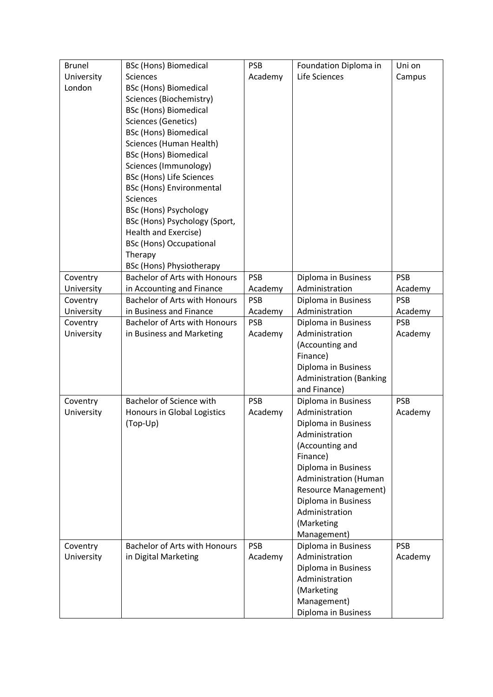| <b>Brunel</b> | <b>BSc (Hons) Biomedical</b>         | <b>PSB</b> | Foundation Diploma in          | Uni on     |
|---------------|--------------------------------------|------------|--------------------------------|------------|
| University    | <b>Sciences</b>                      | Academy    | Life Sciences                  | Campus     |
| London        | <b>BSc (Hons) Biomedical</b>         |            |                                |            |
|               | Sciences (Biochemistry)              |            |                                |            |
|               | <b>BSc (Hons) Biomedical</b>         |            |                                |            |
|               | <b>Sciences (Genetics)</b>           |            |                                |            |
|               | <b>BSc (Hons) Biomedical</b>         |            |                                |            |
|               | Sciences (Human Health)              |            |                                |            |
|               | <b>BSc (Hons) Biomedical</b>         |            |                                |            |
|               | Sciences (Immunology)                |            |                                |            |
|               | <b>BSc (Hons) Life Sciences</b>      |            |                                |            |
|               | <b>BSc (Hons) Environmental</b>      |            |                                |            |
|               | <b>Sciences</b>                      |            |                                |            |
|               | <b>BSc (Hons) Psychology</b>         |            |                                |            |
|               | BSc (Hons) Psychology (Sport,        |            |                                |            |
|               | Health and Exercise)                 |            |                                |            |
|               | <b>BSc (Hons) Occupational</b>       |            |                                |            |
|               | Therapy                              |            |                                |            |
|               | <b>BSc (Hons) Physiotherapy</b>      |            |                                |            |
| Coventry      | <b>Bachelor of Arts with Honours</b> | <b>PSB</b> | Diploma in Business            | <b>PSB</b> |
| University    | in Accounting and Finance            | Academy    | Administration                 | Academy    |
| Coventry      | <b>Bachelor of Arts with Honours</b> | <b>PSB</b> | Diploma in Business            | <b>PSB</b> |
| University    | in Business and Finance              | Academy    | Administration                 | Academy    |
| Coventry      | <b>Bachelor of Arts with Honours</b> | <b>PSB</b> | Diploma in Business            | <b>PSB</b> |
| University    | in Business and Marketing            | Academy    | Administration                 | Academy    |
|               |                                      |            | (Accounting and                |            |
|               |                                      |            | Finance)                       |            |
|               |                                      |            | Diploma in Business            |            |
|               |                                      |            | <b>Administration (Banking</b> |            |
|               |                                      |            | and Finance)                   |            |
| Coventry      | <b>Bachelor of Science with</b>      | <b>PSB</b> | Diploma in Business            | <b>PSB</b> |
| University    | Honours in Global Logistics          | Academy    | Administration                 | Academy    |
|               | (Top-Up)                             |            | Diploma in Business            |            |
|               |                                      |            | Administration                 |            |
|               |                                      |            | (Accounting and                |            |
|               |                                      |            | Finance)                       |            |
|               |                                      |            | Diploma in Business            |            |
|               |                                      |            | Administration (Human          |            |
|               |                                      |            | <b>Resource Management)</b>    |            |
|               |                                      |            | Diploma in Business            |            |
|               |                                      |            | Administration                 |            |
|               |                                      |            | (Marketing                     |            |
|               |                                      |            | Management)                    |            |
| Coventry      | <b>Bachelor of Arts with Honours</b> | <b>PSB</b> | Diploma in Business            | <b>PSB</b> |
| University    | in Digital Marketing                 | Academy    | Administration                 | Academy    |
|               |                                      |            | Diploma in Business            |            |
|               |                                      |            | Administration                 |            |
|               |                                      |            | (Marketing                     |            |
|               |                                      |            | Management)                    |            |
|               |                                      |            | Diploma in Business            |            |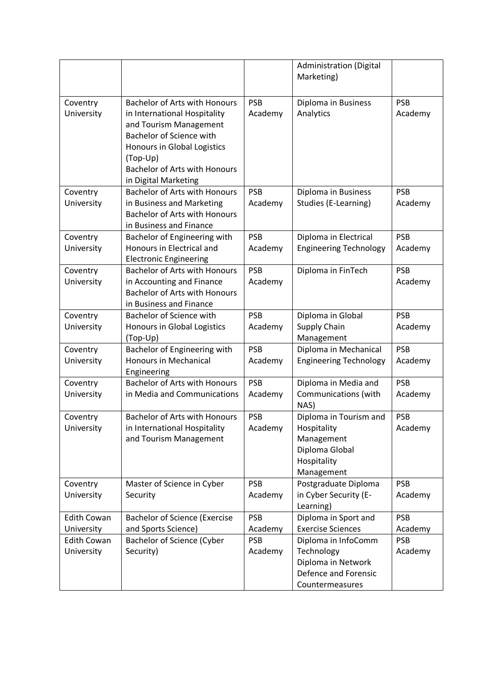|                                  |                                                                                                                                                                                                                                              |                       | <b>Administration (Digital</b><br>Marketing)                                                       |                       |
|----------------------------------|----------------------------------------------------------------------------------------------------------------------------------------------------------------------------------------------------------------------------------------------|-----------------------|----------------------------------------------------------------------------------------------------|-----------------------|
| Coventry<br>University           | <b>Bachelor of Arts with Honours</b><br>in International Hospitality<br>and Tourism Management<br><b>Bachelor of Science with</b><br>Honours in Global Logistics<br>(Top-Up)<br><b>Bachelor of Arts with Honours</b><br>in Digital Marketing | <b>PSB</b><br>Academy | Diploma in Business<br>Analytics                                                                   | <b>PSB</b><br>Academy |
| Coventry<br>University           | <b>Bachelor of Arts with Honours</b><br>in Business and Marketing<br><b>Bachelor of Arts with Honours</b><br>in Business and Finance                                                                                                         | <b>PSB</b><br>Academy | Diploma in Business<br>Studies (E-Learning)                                                        | <b>PSB</b><br>Academy |
| Coventry<br>University           | Bachelor of Engineering with<br>Honours in Electrical and<br><b>Electronic Engineering</b>                                                                                                                                                   | <b>PSB</b><br>Academy | Diploma in Electrical<br><b>Engineering Technology</b>                                             | <b>PSB</b><br>Academy |
| Coventry<br>University           | <b>Bachelor of Arts with Honours</b><br>in Accounting and Finance<br><b>Bachelor of Arts with Honours</b><br>in Business and Finance                                                                                                         | <b>PSB</b><br>Academy | Diploma in FinTech                                                                                 | <b>PSB</b><br>Academy |
| Coventry<br>University           | <b>Bachelor of Science with</b><br>Honours in Global Logistics<br>(Top-Up)                                                                                                                                                                   | <b>PSB</b><br>Academy | Diploma in Global<br>Supply Chain<br>Management                                                    | <b>PSB</b><br>Academy |
| Coventry<br>University           | Bachelor of Engineering with<br><b>Honours in Mechanical</b><br>Engineering                                                                                                                                                                  | <b>PSB</b><br>Academy | Diploma in Mechanical<br><b>Engineering Technology</b>                                             | <b>PSB</b><br>Academy |
| Coventry<br>University           | <b>Bachelor of Arts with Honours</b><br>in Media and Communications                                                                                                                                                                          | <b>PSB</b><br>Academy | Diploma in Media and<br>Communications (with<br>NAS)                                               | <b>PSB</b><br>Academy |
| Coventry<br>University           | <b>Bachelor of Arts with Honours</b><br>in International Hospitality<br>and Tourism Management                                                                                                                                               | <b>PSB</b><br>Academy | Diploma in Tourism and<br>Hospitality<br>Management<br>Diploma Global<br>Hospitality<br>Management | <b>PSB</b><br>Academy |
| Coventry<br>University           | Master of Science in Cyber<br>Security                                                                                                                                                                                                       | <b>PSB</b><br>Academy | Postgraduate Diploma<br>in Cyber Security (E-<br>Learning)                                         | <b>PSB</b><br>Academy |
| <b>Edith Cowan</b>               | <b>Bachelor of Science (Exercise</b>                                                                                                                                                                                                         | <b>PSB</b>            | Diploma in Sport and                                                                               | <b>PSB</b>            |
| University<br><b>Edith Cowan</b> | and Sports Science)<br><b>Bachelor of Science (Cyber</b>                                                                                                                                                                                     | Academy<br><b>PSB</b> | <b>Exercise Sciences</b><br>Diploma in InfoComm                                                    | Academy<br><b>PSB</b> |
| University                       | Security)                                                                                                                                                                                                                                    | Academy               | Technology<br>Diploma in Network<br>Defence and Forensic<br>Countermeasures                        | Academy               |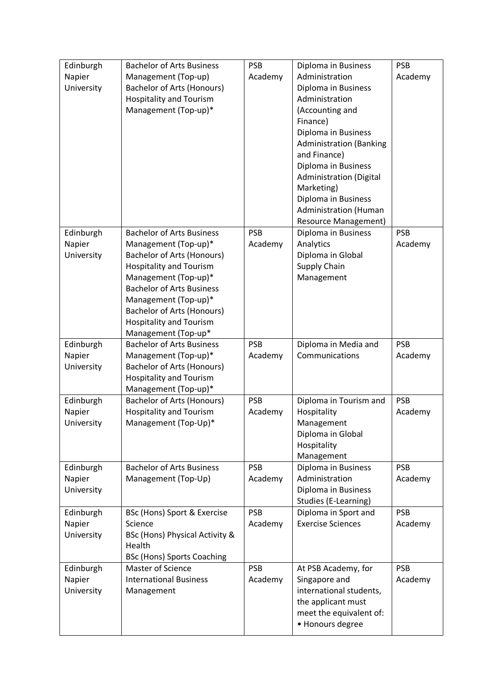| Edinburgh<br>Napier<br>University | <b>Bachelor of Arts Business</b><br>Management (Top-up)<br><b>Bachelor of Arts (Honours)</b><br><b>Hospitality and Tourism</b><br>Management (Top-up)*                                                                                                                                                            | <b>PSB</b><br>Academy | Diploma in Business<br>Administration<br>Diploma in Business<br>Administration<br>(Accounting and<br>Finance)<br>Diploma in Business<br><b>Administration (Banking</b><br>and Finance)<br>Diploma in Business<br><b>Administration (Digital</b><br>Marketing)<br>Diploma in Business<br><b>Administration (Human</b> | <b>PSB</b><br>Academy |
|-----------------------------------|-------------------------------------------------------------------------------------------------------------------------------------------------------------------------------------------------------------------------------------------------------------------------------------------------------------------|-----------------------|----------------------------------------------------------------------------------------------------------------------------------------------------------------------------------------------------------------------------------------------------------------------------------------------------------------------|-----------------------|
| Edinburgh<br>Napier<br>University | <b>Bachelor of Arts Business</b><br>Management (Top-up)*<br><b>Bachelor of Arts (Honours)</b><br><b>Hospitality and Tourism</b><br>Management (Top-up)*<br><b>Bachelor of Arts Business</b><br>Management (Top-up)*<br><b>Bachelor of Arts (Honours)</b><br><b>Hospitality and Tourism</b><br>Management (Top-up* | <b>PSB</b><br>Academy | <b>Resource Management)</b><br>Diploma in Business<br>Analytics<br>Diploma in Global<br>Supply Chain<br>Management                                                                                                                                                                                                   | <b>PSB</b><br>Academy |
| Edinburgh<br>Napier<br>University | <b>Bachelor of Arts Business</b><br>Management (Top-up)*<br>Bachelor of Arts (Honours)<br><b>Hospitality and Tourism</b><br>Management (Top-up)*                                                                                                                                                                  | <b>PSB</b><br>Academy | Diploma in Media and<br>Communications                                                                                                                                                                                                                                                                               | <b>PSB</b><br>Academy |
| Edinburgh<br>Napier<br>University | <b>Bachelor of Arts (Honours)</b><br><b>Hospitality and Tourism</b><br>Management (Top-Up)*                                                                                                                                                                                                                       | <b>PSB</b><br>Academy | Diploma in Tourism and<br>Hospitality<br>Management<br>Diploma in Global<br>Hospitality<br>Management                                                                                                                                                                                                                | <b>PSB</b><br>Academy |
| Edinburgh<br>Napier<br>University | <b>Bachelor of Arts Business</b><br>Management (Top-Up)                                                                                                                                                                                                                                                           | <b>PSB</b><br>Academy | Diploma in Business<br>Administration<br>Diploma in Business<br>Studies (E-Learning)                                                                                                                                                                                                                                 | <b>PSB</b><br>Academy |
| Edinburgh<br>Napier<br>University | BSc (Hons) Sport & Exercise<br>Science<br>BSc (Hons) Physical Activity &<br>Health<br><b>BSc (Hons) Sports Coaching</b>                                                                                                                                                                                           | <b>PSB</b><br>Academy | Diploma in Sport and<br><b>Exercise Sciences</b>                                                                                                                                                                                                                                                                     | <b>PSB</b><br>Academy |
| Edinburgh<br>Napier<br>University | <b>Master of Science</b><br><b>International Business</b><br>Management                                                                                                                                                                                                                                           | <b>PSB</b><br>Academy | At PSB Academy, for<br>Singapore and<br>international students,<br>the applicant must<br>meet the equivalent of:<br>• Honours degree                                                                                                                                                                                 | <b>PSB</b><br>Academy |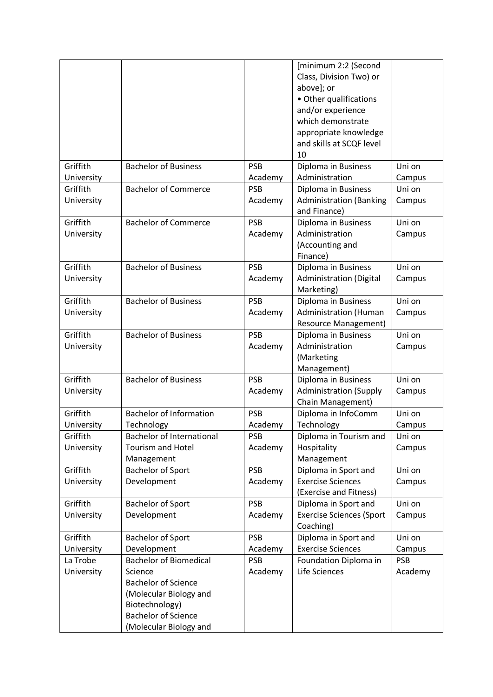|            |                                  |            | [minimum 2:2 (Second            |            |
|------------|----------------------------------|------------|---------------------------------|------------|
|            |                                  |            | Class, Division Two) or         |            |
|            |                                  |            | above]; or                      |            |
|            |                                  |            | • Other qualifications          |            |
|            |                                  |            | and/or experience               |            |
|            |                                  |            | which demonstrate               |            |
|            |                                  |            |                                 |            |
|            |                                  |            | appropriate knowledge           |            |
|            |                                  |            | and skills at SCQF level        |            |
|            |                                  |            | 10                              |            |
| Griffith   | <b>Bachelor of Business</b>      | <b>PSB</b> | Diploma in Business             | Uni on     |
| University |                                  | Academy    | Administration                  | Campus     |
| Griffith   | <b>Bachelor of Commerce</b>      | <b>PSB</b> | Diploma in Business             | Uni on     |
| University |                                  | Academy    | <b>Administration (Banking</b>  | Campus     |
|            |                                  |            | and Finance)                    |            |
| Griffith   | <b>Bachelor of Commerce</b>      | <b>PSB</b> | Diploma in Business             | Uni on     |
| University |                                  | Academy    | Administration                  | Campus     |
|            |                                  |            | (Accounting and                 |            |
|            |                                  |            | Finance)                        |            |
| Griffith   | <b>Bachelor of Business</b>      | <b>PSB</b> | Diploma in Business             | Uni on     |
| University |                                  | Academy    | <b>Administration (Digital</b>  | Campus     |
|            |                                  |            | Marketing)                      |            |
| Griffith   | <b>Bachelor of Business</b>      | <b>PSB</b> | Diploma in Business             | Uni on     |
|            |                                  |            |                                 |            |
| University |                                  | Academy    | <b>Administration (Human</b>    | Campus     |
|            |                                  |            | <b>Resource Management)</b>     |            |
| Griffith   | <b>Bachelor of Business</b>      | <b>PSB</b> | Diploma in Business             | Uni on     |
| University |                                  | Academy    | Administration                  | Campus     |
|            |                                  |            | (Marketing                      |            |
|            |                                  |            | Management)                     |            |
| Griffith   | <b>Bachelor of Business</b>      | <b>PSB</b> | Diploma in Business             | Uni on     |
| University |                                  | Academy    | <b>Administration (Supply</b>   | Campus     |
|            |                                  |            | Chain Management)               |            |
| Griffith   | <b>Bachelor of Information</b>   | <b>PSB</b> | Diploma in InfoComm             | Uni on     |
| University | Technology                       | Academy    | Technology                      | Campus     |
| Griffith   | <b>Bachelor of International</b> | <b>PSB</b> | Diploma in Tourism and          | Uni on     |
| University | <b>Tourism and Hotel</b>         | Academy    | Hospitality                     | Campus     |
|            | Management                       |            | Management                      |            |
| Griffith   | <b>Bachelor of Sport</b>         | <b>PSB</b> | Diploma in Sport and            | Uni on     |
| University | Development                      | Academy    | <b>Exercise Sciences</b>        | Campus     |
|            |                                  |            | (Exercise and Fitness)          |            |
| Griffith   | <b>Bachelor of Sport</b>         | <b>PSB</b> | Diploma in Sport and            | Uni on     |
| University | Development                      | Academy    | <b>Exercise Sciences (Sport</b> | Campus     |
|            |                                  |            | Coaching)                       |            |
| Griffith   | <b>Bachelor of Sport</b>         | <b>PSB</b> | Diploma in Sport and            | Uni on     |
| University | Development                      | Academy    | <b>Exercise Sciences</b>        | Campus     |
| La Trobe   | <b>Bachelor of Biomedical</b>    | <b>PSB</b> | Foundation Diploma in           | <b>PSB</b> |
| University | Science                          | Academy    | Life Sciences                   | Academy    |
|            | <b>Bachelor of Science</b>       |            |                                 |            |
|            | (Molecular Biology and           |            |                                 |            |
|            | Biotechnology)                   |            |                                 |            |
|            | <b>Bachelor of Science</b>       |            |                                 |            |
|            |                                  |            |                                 |            |
|            | (Molecular Biology and           |            |                                 |            |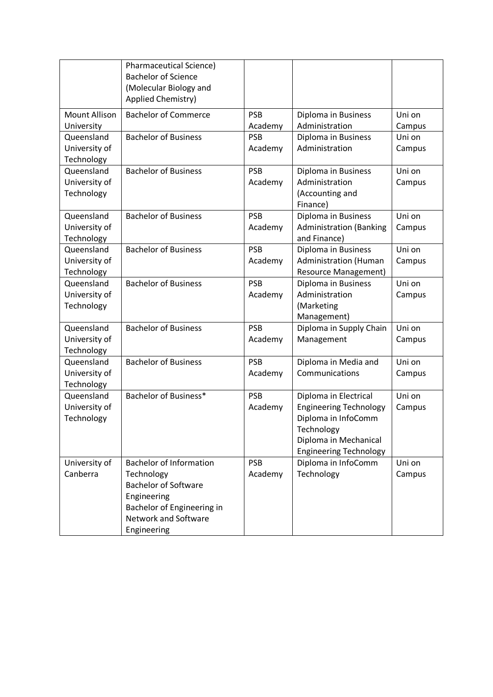|                          | <b>Pharmaceutical Science)</b><br><b>Bachelor of Science</b><br>(Molecular Biology and<br>Applied Chemistry) |            |                                                        |        |
|--------------------------|--------------------------------------------------------------------------------------------------------------|------------|--------------------------------------------------------|--------|
| <b>Mount Allison</b>     | <b>Bachelor of Commerce</b>                                                                                  | <b>PSB</b> | Diploma in Business                                    | Uni on |
| University               |                                                                                                              | Academy    | Administration                                         | Campus |
| Queensland               | <b>Bachelor of Business</b>                                                                                  | <b>PSB</b> | Diploma in Business                                    | Uni on |
| University of            |                                                                                                              | Academy    | Administration                                         | Campus |
| Technology               |                                                                                                              |            |                                                        |        |
| Queensland               | <b>Bachelor of Business</b>                                                                                  | <b>PSB</b> | Diploma in Business                                    | Uni on |
| University of            |                                                                                                              | Academy    | Administration                                         | Campus |
| Technology               |                                                                                                              |            | (Accounting and                                        |        |
|                          |                                                                                                              |            | Finance)                                               |        |
| Queensland               | <b>Bachelor of Business</b>                                                                                  | <b>PSB</b> | Diploma in Business                                    | Uni on |
| University of            |                                                                                                              | Academy    | <b>Administration (Banking</b>                         | Campus |
| Technology               |                                                                                                              |            | and Finance)                                           |        |
| Queensland               | <b>Bachelor of Business</b>                                                                                  | <b>PSB</b> | Diploma in Business                                    | Uni on |
| University of            |                                                                                                              | Academy    | <b>Administration (Human</b>                           | Campus |
| Technology               |                                                                                                              |            | Resource Management)                                   |        |
| Queensland               | <b>Bachelor of Business</b>                                                                                  | <b>PSB</b> | Diploma in Business                                    | Uni on |
| University of            |                                                                                                              | Academy    | Administration                                         | Campus |
| Technology               |                                                                                                              |            | (Marketing                                             |        |
|                          |                                                                                                              |            | Management)                                            |        |
| Queensland               | <b>Bachelor of Business</b>                                                                                  | <b>PSB</b> | Diploma in Supply Chain                                | Uni on |
| University of            |                                                                                                              | Academy    | Management                                             | Campus |
| Technology               |                                                                                                              |            |                                                        |        |
| Queensland               | <b>Bachelor of Business</b>                                                                                  | <b>PSB</b> | Diploma in Media and                                   | Uni on |
| University of            |                                                                                                              | Academy    | Communications                                         | Campus |
| Technology<br>Queensland | Bachelor of Business*                                                                                        | <b>PSB</b> |                                                        | Uni on |
| University of            |                                                                                                              | Academy    | Diploma in Electrical<br><b>Engineering Technology</b> |        |
| Technology               |                                                                                                              |            | Diploma in InfoComm                                    | Campus |
|                          |                                                                                                              |            | Technology                                             |        |
|                          |                                                                                                              |            | Diploma in Mechanical                                  |        |
|                          |                                                                                                              |            | <b>Engineering Technology</b>                          |        |
| University of            | <b>Bachelor of Information</b>                                                                               | <b>PSB</b> | Diploma in InfoComm                                    | Uni on |
| Canberra                 | Technology                                                                                                   | Academy    | Technology                                             | Campus |
|                          | <b>Bachelor of Software</b>                                                                                  |            |                                                        |        |
|                          | Engineering                                                                                                  |            |                                                        |        |
|                          | Bachelor of Engineering in                                                                                   |            |                                                        |        |
|                          | <b>Network and Software</b>                                                                                  |            |                                                        |        |
|                          | Engineering                                                                                                  |            |                                                        |        |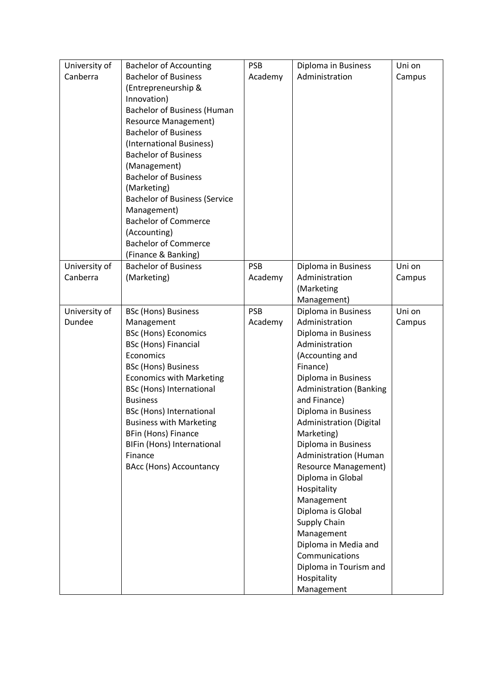| University of | <b>Bachelor of Accounting</b>        | <b>PSB</b> | Diploma in Business            | Uni on |
|---------------|--------------------------------------|------------|--------------------------------|--------|
| Canberra      | <b>Bachelor of Business</b>          | Academy    | Administration                 | Campus |
|               | (Entrepreneurship &                  |            |                                |        |
|               | Innovation)                          |            |                                |        |
|               | <b>Bachelor of Business (Human</b>   |            |                                |        |
|               | <b>Resource Management)</b>          |            |                                |        |
|               | <b>Bachelor of Business</b>          |            |                                |        |
|               | (International Business)             |            |                                |        |
|               | <b>Bachelor of Business</b>          |            |                                |        |
|               | (Management)                         |            |                                |        |
|               | <b>Bachelor of Business</b>          |            |                                |        |
|               | (Marketing)                          |            |                                |        |
|               | <b>Bachelor of Business (Service</b> |            |                                |        |
|               | Management)                          |            |                                |        |
|               | <b>Bachelor of Commerce</b>          |            |                                |        |
|               | (Accounting)                         |            |                                |        |
|               | <b>Bachelor of Commerce</b>          |            |                                |        |
|               | (Finance & Banking)                  |            |                                |        |
| University of | <b>Bachelor of Business</b>          | <b>PSB</b> | Diploma in Business            | Uni on |
| Canberra      | (Marketing)                          | Academy    | Administration                 | Campus |
|               |                                      |            | (Marketing                     |        |
|               |                                      |            | Management)                    |        |
| University of | <b>BSc (Hons) Business</b>           | <b>PSB</b> | Diploma in Business            | Uni on |
| Dundee        | Management                           | Academy    | Administration                 | Campus |
|               | <b>BSc (Hons) Economics</b>          |            | Diploma in Business            |        |
|               | <b>BSc (Hons) Financial</b>          |            | Administration                 |        |
|               | Economics                            |            | (Accounting and                |        |
|               | <b>BSc (Hons) Business</b>           |            | Finance)                       |        |
|               | <b>Economics with Marketing</b>      |            | Diploma in Business            |        |
|               | <b>BSc (Hons) International</b>      |            | <b>Administration (Banking</b> |        |
|               | <b>Business</b>                      |            | and Finance)                   |        |
|               | BSc (Hons) International             |            | Diploma in Business            |        |
|               | <b>Business with Marketing</b>       |            | <b>Administration (Digital</b> |        |
|               | <b>BFin (Hons) Finance</b>           |            | Marketing)                     |        |
|               | BIFin (Hons) International           |            | Diploma in Business            |        |
|               | Finance                              |            | <b>Administration (Human</b>   |        |
|               | <b>BAcc (Hons) Accountancy</b>       |            | <b>Resource Management)</b>    |        |
|               |                                      |            | Diploma in Global              |        |
|               |                                      |            | Hospitality                    |        |
|               |                                      |            | Management                     |        |
|               |                                      |            | Diploma is Global              |        |
|               |                                      |            | Supply Chain                   |        |
|               |                                      |            | Management                     |        |
|               |                                      |            | Diploma in Media and           |        |
|               |                                      |            | Communications                 |        |
|               |                                      |            | Diploma in Tourism and         |        |
|               |                                      |            | Hospitality                    |        |
|               |                                      |            | Management                     |        |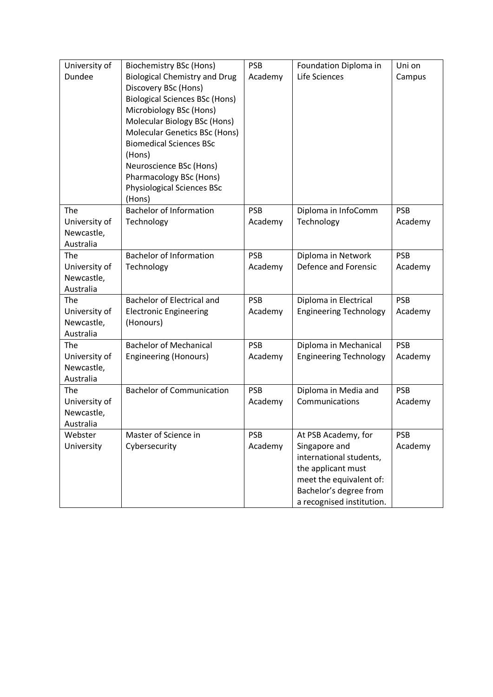| University of<br>Dundee                         | Biochemistry BSc (Hons)<br><b>Biological Chemistry and Drug</b><br>Discovery BSc (Hons)<br><b>Biological Sciences BSc (Hons)</b><br>Microbiology BSc (Hons)<br>Molecular Biology BSc (Hons)<br>Molecular Genetics BSc (Hons)<br><b>Biomedical Sciences BSc</b><br>(Hons)<br>Neuroscience BSc (Hons)<br>Pharmacology BSc (Hons)<br><b>Physiological Sciences BSc</b><br>(Hons) | <b>PSB</b><br>Academy | Foundation Diploma in<br>Life Sciences                                                                                                                                  | Uni on<br>Campus      |
|-------------------------------------------------|-------------------------------------------------------------------------------------------------------------------------------------------------------------------------------------------------------------------------------------------------------------------------------------------------------------------------------------------------------------------------------|-----------------------|-------------------------------------------------------------------------------------------------------------------------------------------------------------------------|-----------------------|
| The<br>University of<br>Newcastle,<br>Australia | <b>Bachelor of Information</b><br>Technology                                                                                                                                                                                                                                                                                                                                  | <b>PSB</b><br>Academy | Diploma in InfoComm<br>Technology                                                                                                                                       | <b>PSB</b><br>Academy |
| The<br>University of<br>Newcastle,<br>Australia | <b>Bachelor of Information</b><br>Technology                                                                                                                                                                                                                                                                                                                                  | <b>PSB</b><br>Academy | Diploma in Network<br>Defence and Forensic                                                                                                                              | <b>PSB</b><br>Academy |
| The<br>University of<br>Newcastle,<br>Australia | Bachelor of Electrical and<br><b>Electronic Engineering</b><br>(Honours)                                                                                                                                                                                                                                                                                                      | <b>PSB</b><br>Academy | Diploma in Electrical<br><b>Engineering Technology</b>                                                                                                                  | <b>PSB</b><br>Academy |
| The<br>University of<br>Newcastle,<br>Australia | <b>Bachelor of Mechanical</b><br><b>Engineering (Honours)</b>                                                                                                                                                                                                                                                                                                                 | <b>PSB</b><br>Academy | Diploma in Mechanical<br><b>Engineering Technology</b>                                                                                                                  | <b>PSB</b><br>Academy |
| The<br>University of<br>Newcastle,<br>Australia | <b>Bachelor of Communication</b>                                                                                                                                                                                                                                                                                                                                              | <b>PSB</b><br>Academy | Diploma in Media and<br>Communications                                                                                                                                  | <b>PSB</b><br>Academy |
| Webster<br>University                           | Master of Science in<br>Cybersecurity                                                                                                                                                                                                                                                                                                                                         | <b>PSB</b><br>Academy | At PSB Academy, for<br>Singapore and<br>international students,<br>the applicant must<br>meet the equivalent of:<br>Bachelor's degree from<br>a recognised institution. | <b>PSB</b><br>Academy |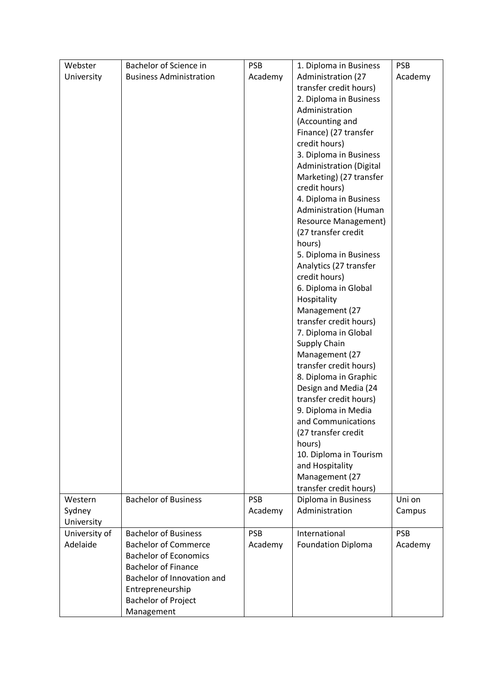| <b>Business Administration</b><br>University<br>Academy<br>Administration (27<br>Academy<br>transfer credit hours)<br>2. Diploma in Business<br>Administration<br>(Accounting and<br>Finance) (27 transfer<br>credit hours)<br>3. Diploma in Business<br><b>Administration (Digital</b><br>Marketing) (27 transfer<br>credit hours)<br>4. Diploma in Business<br><b>Administration (Human</b><br><b>Resource Management)</b><br>(27 transfer credit<br>hours)<br>5. Diploma in Business<br>Analytics (27 transfer<br>credit hours)<br>6. Diploma in Global<br>Hospitality<br>Management (27<br>transfer credit hours)<br>7. Diploma in Global<br>Supply Chain<br>Management (27<br>transfer credit hours)<br>8. Diploma in Graphic<br>Design and Media (24<br>transfer credit hours)<br>9. Diploma in Media<br>and Communications<br>(27 transfer credit<br>hours)<br>10. Diploma in Tourism<br>and Hospitality<br>Management (27<br>transfer credit hours)<br><b>Bachelor of Business</b><br><b>PSB</b><br>Uni on<br>Diploma in Business<br>Western<br>Administration<br>Sydney<br>Academy<br>Campus<br>University<br><b>Bachelor of Business</b><br><b>PSB</b><br>University of<br>International<br><b>PSB</b><br>Adelaide<br><b>Bachelor of Commerce</b><br><b>Foundation Diploma</b><br>Academy<br>Academy<br><b>Bachelor of Economics</b><br><b>Bachelor of Finance</b><br>Bachelor of Innovation and<br>Entrepreneurship<br><b>Bachelor of Project</b> | Webster | Bachelor of Science in | <b>PSB</b> | 1. Diploma in Business | <b>PSB</b> |
|--------------------------------------------------------------------------------------------------------------------------------------------------------------------------------------------------------------------------------------------------------------------------------------------------------------------------------------------------------------------------------------------------------------------------------------------------------------------------------------------------------------------------------------------------------------------------------------------------------------------------------------------------------------------------------------------------------------------------------------------------------------------------------------------------------------------------------------------------------------------------------------------------------------------------------------------------------------------------------------------------------------------------------------------------------------------------------------------------------------------------------------------------------------------------------------------------------------------------------------------------------------------------------------------------------------------------------------------------------------------------------------------------------------------------------------------------------------|---------|------------------------|------------|------------------------|------------|
|                                                                                                                                                                                                                                                                                                                                                                                                                                                                                                                                                                                                                                                                                                                                                                                                                                                                                                                                                                                                                                                                                                                                                                                                                                                                                                                                                                                                                                                              |         |                        |            |                        |            |
|                                                                                                                                                                                                                                                                                                                                                                                                                                                                                                                                                                                                                                                                                                                                                                                                                                                                                                                                                                                                                                                                                                                                                                                                                                                                                                                                                                                                                                                              |         |                        |            |                        |            |
|                                                                                                                                                                                                                                                                                                                                                                                                                                                                                                                                                                                                                                                                                                                                                                                                                                                                                                                                                                                                                                                                                                                                                                                                                                                                                                                                                                                                                                                              |         |                        |            |                        |            |
|                                                                                                                                                                                                                                                                                                                                                                                                                                                                                                                                                                                                                                                                                                                                                                                                                                                                                                                                                                                                                                                                                                                                                                                                                                                                                                                                                                                                                                                              |         |                        |            |                        |            |
|                                                                                                                                                                                                                                                                                                                                                                                                                                                                                                                                                                                                                                                                                                                                                                                                                                                                                                                                                                                                                                                                                                                                                                                                                                                                                                                                                                                                                                                              |         |                        |            |                        |            |
|                                                                                                                                                                                                                                                                                                                                                                                                                                                                                                                                                                                                                                                                                                                                                                                                                                                                                                                                                                                                                                                                                                                                                                                                                                                                                                                                                                                                                                                              |         |                        |            |                        |            |
|                                                                                                                                                                                                                                                                                                                                                                                                                                                                                                                                                                                                                                                                                                                                                                                                                                                                                                                                                                                                                                                                                                                                                                                                                                                                                                                                                                                                                                                              |         |                        |            |                        |            |
|                                                                                                                                                                                                                                                                                                                                                                                                                                                                                                                                                                                                                                                                                                                                                                                                                                                                                                                                                                                                                                                                                                                                                                                                                                                                                                                                                                                                                                                              |         |                        |            |                        |            |
|                                                                                                                                                                                                                                                                                                                                                                                                                                                                                                                                                                                                                                                                                                                                                                                                                                                                                                                                                                                                                                                                                                                                                                                                                                                                                                                                                                                                                                                              |         |                        |            |                        |            |
|                                                                                                                                                                                                                                                                                                                                                                                                                                                                                                                                                                                                                                                                                                                                                                                                                                                                                                                                                                                                                                                                                                                                                                                                                                                                                                                                                                                                                                                              |         |                        |            |                        |            |
|                                                                                                                                                                                                                                                                                                                                                                                                                                                                                                                                                                                                                                                                                                                                                                                                                                                                                                                                                                                                                                                                                                                                                                                                                                                                                                                                                                                                                                                              |         |                        |            |                        |            |
|                                                                                                                                                                                                                                                                                                                                                                                                                                                                                                                                                                                                                                                                                                                                                                                                                                                                                                                                                                                                                                                                                                                                                                                                                                                                                                                                                                                                                                                              |         |                        |            |                        |            |
|                                                                                                                                                                                                                                                                                                                                                                                                                                                                                                                                                                                                                                                                                                                                                                                                                                                                                                                                                                                                                                                                                                                                                                                                                                                                                                                                                                                                                                                              |         |                        |            |                        |            |
|                                                                                                                                                                                                                                                                                                                                                                                                                                                                                                                                                                                                                                                                                                                                                                                                                                                                                                                                                                                                                                                                                                                                                                                                                                                                                                                                                                                                                                                              |         |                        |            |                        |            |
|                                                                                                                                                                                                                                                                                                                                                                                                                                                                                                                                                                                                                                                                                                                                                                                                                                                                                                                                                                                                                                                                                                                                                                                                                                                                                                                                                                                                                                                              |         |                        |            |                        |            |
|                                                                                                                                                                                                                                                                                                                                                                                                                                                                                                                                                                                                                                                                                                                                                                                                                                                                                                                                                                                                                                                                                                                                                                                                                                                                                                                                                                                                                                                              |         |                        |            |                        |            |
|                                                                                                                                                                                                                                                                                                                                                                                                                                                                                                                                                                                                                                                                                                                                                                                                                                                                                                                                                                                                                                                                                                                                                                                                                                                                                                                                                                                                                                                              |         |                        |            |                        |            |
|                                                                                                                                                                                                                                                                                                                                                                                                                                                                                                                                                                                                                                                                                                                                                                                                                                                                                                                                                                                                                                                                                                                                                                                                                                                                                                                                                                                                                                                              |         |                        |            |                        |            |
|                                                                                                                                                                                                                                                                                                                                                                                                                                                                                                                                                                                                                                                                                                                                                                                                                                                                                                                                                                                                                                                                                                                                                                                                                                                                                                                                                                                                                                                              |         |                        |            |                        |            |
|                                                                                                                                                                                                                                                                                                                                                                                                                                                                                                                                                                                                                                                                                                                                                                                                                                                                                                                                                                                                                                                                                                                                                                                                                                                                                                                                                                                                                                                              |         |                        |            |                        |            |
|                                                                                                                                                                                                                                                                                                                                                                                                                                                                                                                                                                                                                                                                                                                                                                                                                                                                                                                                                                                                                                                                                                                                                                                                                                                                                                                                                                                                                                                              |         |                        |            |                        |            |
|                                                                                                                                                                                                                                                                                                                                                                                                                                                                                                                                                                                                                                                                                                                                                                                                                                                                                                                                                                                                                                                                                                                                                                                                                                                                                                                                                                                                                                                              |         |                        |            |                        |            |
|                                                                                                                                                                                                                                                                                                                                                                                                                                                                                                                                                                                                                                                                                                                                                                                                                                                                                                                                                                                                                                                                                                                                                                                                                                                                                                                                                                                                                                                              |         |                        |            |                        |            |
|                                                                                                                                                                                                                                                                                                                                                                                                                                                                                                                                                                                                                                                                                                                                                                                                                                                                                                                                                                                                                                                                                                                                                                                                                                                                                                                                                                                                                                                              |         |                        |            |                        |            |
|                                                                                                                                                                                                                                                                                                                                                                                                                                                                                                                                                                                                                                                                                                                                                                                                                                                                                                                                                                                                                                                                                                                                                                                                                                                                                                                                                                                                                                                              |         |                        |            |                        |            |
|                                                                                                                                                                                                                                                                                                                                                                                                                                                                                                                                                                                                                                                                                                                                                                                                                                                                                                                                                                                                                                                                                                                                                                                                                                                                                                                                                                                                                                                              |         |                        |            |                        |            |
|                                                                                                                                                                                                                                                                                                                                                                                                                                                                                                                                                                                                                                                                                                                                                                                                                                                                                                                                                                                                                                                                                                                                                                                                                                                                                                                                                                                                                                                              |         |                        |            |                        |            |
|                                                                                                                                                                                                                                                                                                                                                                                                                                                                                                                                                                                                                                                                                                                                                                                                                                                                                                                                                                                                                                                                                                                                                                                                                                                                                                                                                                                                                                                              |         |                        |            |                        |            |
|                                                                                                                                                                                                                                                                                                                                                                                                                                                                                                                                                                                                                                                                                                                                                                                                                                                                                                                                                                                                                                                                                                                                                                                                                                                                                                                                                                                                                                                              |         |                        |            |                        |            |
|                                                                                                                                                                                                                                                                                                                                                                                                                                                                                                                                                                                                                                                                                                                                                                                                                                                                                                                                                                                                                                                                                                                                                                                                                                                                                                                                                                                                                                                              |         |                        |            |                        |            |
|                                                                                                                                                                                                                                                                                                                                                                                                                                                                                                                                                                                                                                                                                                                                                                                                                                                                                                                                                                                                                                                                                                                                                                                                                                                                                                                                                                                                                                                              |         |                        |            |                        |            |
|                                                                                                                                                                                                                                                                                                                                                                                                                                                                                                                                                                                                                                                                                                                                                                                                                                                                                                                                                                                                                                                                                                                                                                                                                                                                                                                                                                                                                                                              |         |                        |            |                        |            |
|                                                                                                                                                                                                                                                                                                                                                                                                                                                                                                                                                                                                                                                                                                                                                                                                                                                                                                                                                                                                                                                                                                                                                                                                                                                                                                                                                                                                                                                              |         |                        |            |                        |            |
|                                                                                                                                                                                                                                                                                                                                                                                                                                                                                                                                                                                                                                                                                                                                                                                                                                                                                                                                                                                                                                                                                                                                                                                                                                                                                                                                                                                                                                                              |         |                        |            |                        |            |
|                                                                                                                                                                                                                                                                                                                                                                                                                                                                                                                                                                                                                                                                                                                                                                                                                                                                                                                                                                                                                                                                                                                                                                                                                                                                                                                                                                                                                                                              |         |                        |            |                        |            |
|                                                                                                                                                                                                                                                                                                                                                                                                                                                                                                                                                                                                                                                                                                                                                                                                                                                                                                                                                                                                                                                                                                                                                                                                                                                                                                                                                                                                                                                              |         |                        |            |                        |            |
|                                                                                                                                                                                                                                                                                                                                                                                                                                                                                                                                                                                                                                                                                                                                                                                                                                                                                                                                                                                                                                                                                                                                                                                                                                                                                                                                                                                                                                                              |         |                        |            |                        |            |
|                                                                                                                                                                                                                                                                                                                                                                                                                                                                                                                                                                                                                                                                                                                                                                                                                                                                                                                                                                                                                                                                                                                                                                                                                                                                                                                                                                                                                                                              |         |                        |            |                        |            |
|                                                                                                                                                                                                                                                                                                                                                                                                                                                                                                                                                                                                                                                                                                                                                                                                                                                                                                                                                                                                                                                                                                                                                                                                                                                                                                                                                                                                                                                              |         |                        |            |                        |            |
|                                                                                                                                                                                                                                                                                                                                                                                                                                                                                                                                                                                                                                                                                                                                                                                                                                                                                                                                                                                                                                                                                                                                                                                                                                                                                                                                                                                                                                                              |         |                        |            |                        |            |
|                                                                                                                                                                                                                                                                                                                                                                                                                                                                                                                                                                                                                                                                                                                                                                                                                                                                                                                                                                                                                                                                                                                                                                                                                                                                                                                                                                                                                                                              |         |                        |            |                        |            |
|                                                                                                                                                                                                                                                                                                                                                                                                                                                                                                                                                                                                                                                                                                                                                                                                                                                                                                                                                                                                                                                                                                                                                                                                                                                                                                                                                                                                                                                              |         |                        |            |                        |            |
|                                                                                                                                                                                                                                                                                                                                                                                                                                                                                                                                                                                                                                                                                                                                                                                                                                                                                                                                                                                                                                                                                                                                                                                                                                                                                                                                                                                                                                                              |         |                        |            |                        |            |
|                                                                                                                                                                                                                                                                                                                                                                                                                                                                                                                                                                                                                                                                                                                                                                                                                                                                                                                                                                                                                                                                                                                                                                                                                                                                                                                                                                                                                                                              |         |                        |            |                        |            |
|                                                                                                                                                                                                                                                                                                                                                                                                                                                                                                                                                                                                                                                                                                                                                                                                                                                                                                                                                                                                                                                                                                                                                                                                                                                                                                                                                                                                                                                              |         |                        |            |                        |            |
|                                                                                                                                                                                                                                                                                                                                                                                                                                                                                                                                                                                                                                                                                                                                                                                                                                                                                                                                                                                                                                                                                                                                                                                                                                                                                                                                                                                                                                                              |         |                        |            |                        |            |
|                                                                                                                                                                                                                                                                                                                                                                                                                                                                                                                                                                                                                                                                                                                                                                                                                                                                                                                                                                                                                                                                                                                                                                                                                                                                                                                                                                                                                                                              |         |                        |            |                        |            |
|                                                                                                                                                                                                                                                                                                                                                                                                                                                                                                                                                                                                                                                                                                                                                                                                                                                                                                                                                                                                                                                                                                                                                                                                                                                                                                                                                                                                                                                              |         | Management             |            |                        |            |